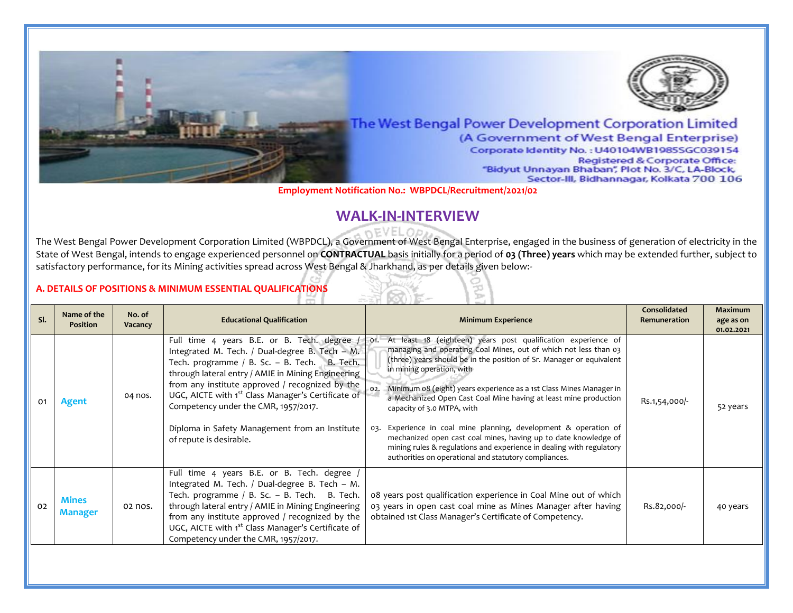

**Employment Notification No.: WBPDCL/Recruitment/2021/02**

# **WALK-IN-INTERVIEW**

The West Bengal Power Development Corporation Limited (WBPDCL), a Government of West Bengal Enterprise, engaged in the business of generation of electricity in the State of West Bengal, intends to engage experienced personnel on **CONTRACTUAL** basis initially for a period of **03 (Three) years** which may be extended further, subject to satisfactory performance, for its Mining activities spread across West Bengal & Jharkhand, as per details given below:-

## **A. DETAILS OF POSITIONS & MINIMUM ESSENTIAL QUALIFICATIONS**

| SI. | Name of the<br><b>Position</b> | No. of<br>Vacancy | <b>Educational Qualification</b>                                                                                                                                                                                                                                                                                                                                                                                                              | <b>Minimum Experience</b>                                                                                                                                                                                                                                                                                                                                                                                                                                                                                                                                                                                                                                                                                | Consolidated<br>Remuneration | <b>Maximum</b><br>age as on<br>01.02.2021 |
|-----|--------------------------------|-------------------|-----------------------------------------------------------------------------------------------------------------------------------------------------------------------------------------------------------------------------------------------------------------------------------------------------------------------------------------------------------------------------------------------------------------------------------------------|----------------------------------------------------------------------------------------------------------------------------------------------------------------------------------------------------------------------------------------------------------------------------------------------------------------------------------------------------------------------------------------------------------------------------------------------------------------------------------------------------------------------------------------------------------------------------------------------------------------------------------------------------------------------------------------------------------|------------------------------|-------------------------------------------|
| 01  | Agent                          | 04 nos.           | Full time 4 years B.E. or B. Tech. degree /<br>Integrated M. Tech. / Dual-degree B. Tech - M.<br>Tech. programme / B. Sc. - B. Tech. B. Tech.<br>through lateral entry / AMIE in Mining Engineering<br>from any institute approved / recognized by the<br>UGC, AICTE with 1 <sup>st</sup> Class Manager's Certificate of<br>Competency under the CMR, 1957/2017.<br>Diploma in Safety Management from an Institute<br>of repute is desirable. | At least 18 (eighteen) years post qualification experience of<br>O1.<br>managing and operating Coal Mines, out of which not less than 03<br>(three) years should be in the position of Sr. Manager or equivalent<br>in mining operation, with<br>Minimum 08 (eight) years experience as a 1st Class Mines Manager in<br>02.<br>a Mechanized Open Cast Coal Mine having at least mine production<br>capacity of 3.0 MTPA, with<br>Experience in coal mine planning, development & operation of<br>03.<br>mechanized open cast coal mines, having up to date knowledge of<br>mining rules & regulations and experience in dealing with regulatory<br>authorities on operational and statutory compliances. | Rs.1,54,000/-                | 52 years                                  |
| 02  | <b>Mines</b><br><b>Manager</b> | 02 nos.           | Full time 4 years B.E. or B. Tech. degree /<br>Integrated M. Tech. / Dual-degree B. Tech - M.<br>Tech. programme / B. Sc. - B. Tech. B. Tech.<br>through lateral entry / AMIE in Mining Engineering<br>from any institute approved / recognized by the<br>UGC, AICTE with 1 <sup>st</sup> Class Manager's Certificate of<br>Competency under the CMR, 1957/2017.                                                                              | 08 years post qualification experience in Coal Mine out of which<br>03 years in open cast coal mine as Mines Manager after having<br>obtained 1st Class Manager's Certificate of Competency.                                                                                                                                                                                                                                                                                                                                                                                                                                                                                                             | Rs.82,000/-                  | 40 years                                  |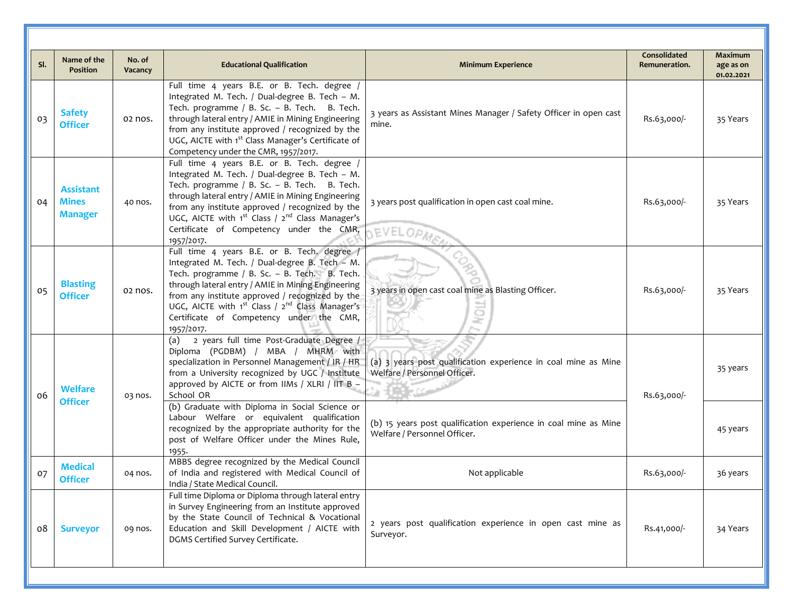| SI. | Name of the<br><b>Position</b>                     | No. of<br>Vacancy | <b>Educational Qualification</b>                                                                                                                                                                                                                                                                                                                                                            | <b>Minimum Experience</b>                                                                       | <b>Consolidated</b><br>Remuneration. | <b>Maximum</b><br>age as on<br>01.02.2021 |
|-----|----------------------------------------------------|-------------------|---------------------------------------------------------------------------------------------------------------------------------------------------------------------------------------------------------------------------------------------------------------------------------------------------------------------------------------------------------------------------------------------|-------------------------------------------------------------------------------------------------|--------------------------------------|-------------------------------------------|
| 03  | <b>Safety</b><br><b>Officer</b>                    | 02 nos.           | Full time 4 years B.E. or B. Tech. degree /<br>Integrated M. Tech. / Dual-degree B. Tech - M.<br>Tech. programme / B. Sc. - B. Tech. B. Tech.<br>through lateral entry / AMIE in Mining Engineering<br>from any institute approved / recognized by the<br>UGC, AICTE with 1 <sup>st</sup> Class Manager's Certificate of<br>Competency under the CMR, 1957/2017.                            | 3 years as Assistant Mines Manager / Safety Officer in open cast<br>mine.                       | Rs.63,000/-                          | 35 Years                                  |
| 04  | <b>Assistant</b><br><b>Mines</b><br><b>Manager</b> | 40 nos.           | Full time 4 years B.E. or B. Tech. degree /<br>Integrated M. Tech. / Dual-degree B. Tech - M.<br>Tech. programme / B. Sc. - B. Tech. B. Tech.<br>through lateral entry / AMIE in Mining Engineering<br>from any institute approved / recognized by the<br>UGC, AICTE with 1 <sup>st</sup> Class / 2 <sup>nd</sup> Class Manager's<br>Certificate of Competency under the CMR,<br>1957/2017. | 3 years post qualification in open cast coal mine.<br>EVELOPMEN                                 | Rs.63,000/-                          | 35 Years                                  |
| 05  | <b>Blasting</b><br><b>Officer</b>                  | 02 nos.           | Full time 4 years B.E. or B. Tech. degree /<br>Integrated M. Tech. / Dual-degree B. Tech - M.<br>Tech. programme / B. Sc. - B. Tech. B. Tech.<br>through lateral entry / AMIE in Mining Engineering<br>from any institute approved / recognized by the<br>UGC, AICTE with $1^{st}$ Class / $2^{nd}$ Class Manager's<br>Certificate of Competency under the CMR,<br>1957/2017.               | 3 years in open cast coal mine as Blasting Officer.<br><b>TON</b>                               | Rs.63,000/-                          | 35 Years                                  |
| 06  | <b>Welfare</b><br><b>Officer</b>                   | 03 nos.           | (a) 2 years full time Post-Graduate Degree /<br>Diploma (PGDBM) / MBA / MHRM with<br>specialization in Personnel Management / IR / HR<br>from a University recognized by UGC / Institute<br>approved by AICTE or from IIMs / XLRI / IIT B -<br>School OR                                                                                                                                    | (a) 3 years post qualification experience in coal mine as Mine<br>Welfare / Personnel Officer.  | Rs.63,000/-                          | 35 years                                  |
|     |                                                    |                   | (b) Graduate with Diploma in Social Science or<br>Labour Welfare or equivalent qualification<br>recognized by the appropriate authority for the<br>post of Welfare Officer under the Mines Rule,<br>1955.                                                                                                                                                                                   | (b) 15 years post qualification experience in coal mine as Mine<br>Welfare / Personnel Officer. |                                      | 45 years                                  |
| 07  | <b>Medical</b><br><b>Officer</b>                   | 04 nos.           | MBBS degree recognized by the Medical Council<br>of India and registered with Medical Council of<br>India / State Medical Council.                                                                                                                                                                                                                                                          | Not applicable                                                                                  | Rs.63,000/-                          | 36 years                                  |
| ο8  | <b>Surveyor</b>                                    | og nos.           | Full time Diploma or Diploma through lateral entry<br>in Survey Engineering from an Institute approved<br>by the State Council of Technical & Vocational<br>Education and Skill Development / AICTE with<br>DGMS Certified Survey Certificate.                                                                                                                                              | 2 years post qualification experience in open cast mine as<br>Surveyor.                         | Rs.41,000/-                          | 34 Years                                  |
|     |                                                    |                   |                                                                                                                                                                                                                                                                                                                                                                                             |                                                                                                 |                                      |                                           |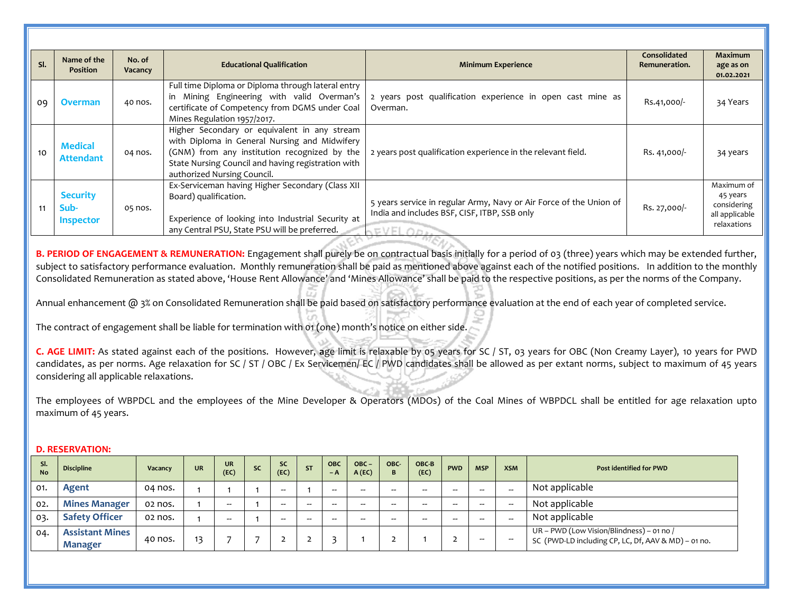| SI. | Name of the<br><b>Position</b>              | No. of<br>Vacancy | <b>Educational Qualification</b>                                                                                                                                                                                                   | <b>Minimum Experience</b>                                                                                                             | Consolidated<br>Remuneration. | <b>Maximum</b><br>age as on<br>01.02.2021                              |
|-----|---------------------------------------------|-------------------|------------------------------------------------------------------------------------------------------------------------------------------------------------------------------------------------------------------------------------|---------------------------------------------------------------------------------------------------------------------------------------|-------------------------------|------------------------------------------------------------------------|
| 09  | Overman                                     | 40 nos.           | Full time Diploma or Diploma through lateral entry<br>Mining Engineering with valid Overman's<br>certificate of Competency from DGMS under Coal<br>Mines Regulation 1957/2017.                                                     | 2 years post qualification experience in open cast mine as<br>Overman.                                                                | Rs.41,000/-                   | 34 Years                                                               |
| 10  | <b>Medical</b><br><b>Attendant</b>          | 04 nos.           | Higher Secondary or equivalent in any stream<br>with Diploma in General Nursing and Midwifery<br>(GNM) from any institution recognized by the<br>State Nursing Council and having registration with<br>authorized Nursing Council. | 2 years post qualification experience in the relevant field.                                                                          | Rs. 41,000/-                  | 34 years                                                               |
| 11  | <b>Security</b><br>Sub-<br><b>Inspector</b> | 05 nos.           | Ex-Serviceman having Higher Secondary (Class XII<br>Board) qualification.<br>Experience of looking into Industrial Security at<br>any Central PSU, State PSU will be preferred.                                                    | 5 years service in regular Army, Navy or Air Force of the Union of<br>India and includes BSF, CISF, ITBP, SSB only<br><b>SEVELODE</b> | Rs. 27,000/-                  | Maximum of<br>45 years<br>considering<br>all applicable<br>relaxations |

**B. PERIOD OF ENGAGEMENT & REMUNERATION:** Engagement shall purely be on contractual basis initially for a period of 03 (three) years which may be extended further, subject to satisfactory performance evaluation. Monthly remuneration shall be paid as mentioned above against each of the notified positions. In addition to the monthly Consolidated Remuneration as stated above, 'House Rent Allowance' and 'Mines Allowance' shall be paid to the respective positions, as per the norms of the Company.

Annual enhancement @ 3% on Consolidated Remuneration shall be paid based on satisfactory performance evaluation at the end of each year of completed service.

The contract of engagement shall be liable for termination with 01 (one) month's notice on either side.

**C. AGE LIMIT:** As stated against each of the positions. However, **a**ge limit is relaxable by 05 years for SC / ST, 03 years for OBC (Non Creamy Layer), 10 years for PWD candidates, as per norms. Age relaxation for SC / ST / OBC / Ex Servicemen/ EC / PWD candidates shall be allowed as per extant norms, subject to maximum of 45 years considering all applicable relaxations.

The employees of WBPDCL and the employees of the Mine Developer & Operators (MDOs) of the Coal Mines of WBPDCL shall be entitled for age relaxation upto maximum of 45 years.

| SI.<br><b>No</b> | <b>Discipline</b>                        | Vacancy | <b>UR</b> | <b>UR</b><br>(EC) | <b>SC</b> | <b>SC</b><br>(EC) | <b>ST</b> | <b>OBC</b><br>$-A$       | $OBC -$<br>A(EC) | OBC-<br>B                | OBC-B<br>(EC) | <b>PWD</b> | <b>MSP</b>               | <b>XSM</b>               | <b>Post identified for PWD</b>                                                                   |
|------------------|------------------------------------------|---------|-----------|-------------------|-----------|-------------------|-----------|--------------------------|------------------|--------------------------|---------------|------------|--------------------------|--------------------------|--------------------------------------------------------------------------------------------------|
| 01.              | Agent                                    | 04 nos. |           |                   |           | $- -$             |           | $\overline{\phantom{m}}$ | --               | $\overline{\phantom{m}}$ | $-$           | $-$        | $\overline{\phantom{a}}$ | $\overline{\phantom{m}}$ | Not applicable                                                                                   |
| 02.              | <b>Mines Manager</b>                     | 02 nos. |           | --                |           | --                | $-$       | --                       | --               | --                       | --            |            | $-$                      | $\overline{\phantom{m}}$ | Not applicable                                                                                   |
| 03.              | <b>Safety Officer</b>                    | 02 nos. |           | $- -$             |           | --                | --        | --                       |                  | --                       | --            |            | $- -$                    | --                       | Not applicable                                                                                   |
| 04.              | <b>Assistant Mines</b><br><b>Manager</b> | 40 nos. | 13        |                   |           |                   |           |                          |                  |                          |               |            | $\overline{\phantom{a}}$ | $\overline{\phantom{m}}$ | UR – PWD (Low Vision/Blindness) – 01 no /<br>SC (PWD-LD including CP, LC, Df, AAV & MD) - 01 no. |

### **D. RESERVATION:**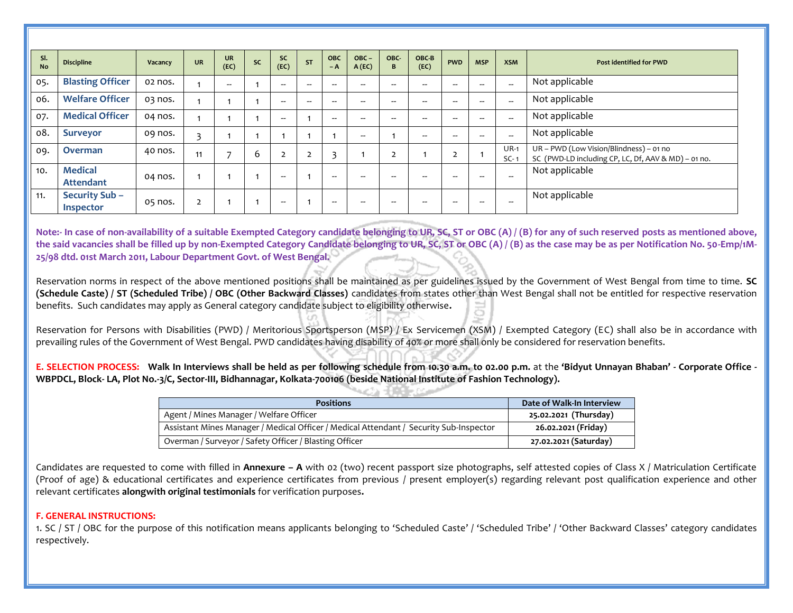| SI.<br><b>No</b> | <b>Discipline</b>                        | Vacancy | <b>UR</b> | <b>UR</b><br>(EC)        | <b>SC</b> | <b>SC</b><br>(EC)        | <b>ST</b>      | <b>OBC</b><br>$-A$       | $OBC -$<br>A(EC) | OBC-<br>B      | OBC-B<br>(EC) | <b>PWD</b>     | <b>MSP</b> | <b>XSM</b>               | <b>Post identified for PWD</b>                                                                 |
|------------------|------------------------------------------|---------|-----------|--------------------------|-----------|--------------------------|----------------|--------------------------|------------------|----------------|---------------|----------------|------------|--------------------------|------------------------------------------------------------------------------------------------|
| 05.              | <b>Blasting Officer</b>                  | 02 nos. |           | $\overline{\phantom{m}}$ |           | $- -$                    | $-$            | $\overline{\phantom{m}}$ | $-$              | --             | --            | $- -$          | $- -$      | $\overline{\phantom{a}}$ | Not applicable                                                                                 |
| 06.              | <b>Welfare Officer</b>                   | 03 nos. |           |                          |           | $\overline{\phantom{a}}$ | --             | $- -$                    | --               | --             | --            | $- -$          | --         | $-$                      | Not applicable                                                                                 |
| 07.              | <b>Medical Officer</b>                   | 04 nos. |           |                          |           | $-$                      |                | $\overline{\phantom{a}}$ | --               | --             | --            | $- -$          | $- -$      | $\overline{\phantom{a}}$ | Not applicable                                                                                 |
| 08.              | <b>Surveyor</b>                          | og nos. | 3         |                          |           |                          |                |                          | --               |                | $-$           | $- -$          |            | $\overline{\phantom{a}}$ | Not applicable                                                                                 |
| 09.              | <b>Overman</b>                           | 40 nos. | 11        |                          | 6         | $\overline{2}$           | $\overline{2}$ | 3                        |                  | $\overline{2}$ |               | $\overline{2}$ |            | $UR-1$<br>$SC-1$         | UR - PWD (Low Vision/Blindness) - 01 no<br>SC (PWD-LD including CP, LC, Df, AAV & MD) - 01 no. |
| 10.              | <b>Medical</b><br><b>Attendant</b>       | 04 nos. |           |                          |           | $\overline{\phantom{a}}$ |                | $- -$                    | --               | --             |               | $- -$          | --         | $\overline{\phantom{m}}$ | Not applicable                                                                                 |
| 11.              | <b>Security Sub-</b><br><b>Inspector</b> | 05 nos. |           |                          |           | $\overline{\phantom{a}}$ |                | $\overline{\phantom{a}}$ | --               | --             |               | $- -$          | --         | $\overline{\phantom{m}}$ | Not applicable                                                                                 |

**Note:- In case of non-availability of a suitable Exempted Category candidate belonging to UR, SC, ST or OBC (A) / (B) for any of such reserved posts as mentioned above, the said vacancies shall be filled up by non-Exempted Category Candidate belonging to UR, SC, ST or OBC (A) / (B) as the case may be as per Notification No. 50-Emp/1M-25/98 dtd. 01st March 2011, Labour Department Govt. of West Bengal.**

Reservation norms in respect of the above mentioned positions shall be maintained as per guidelines issued by the Government of West Bengal from time to time. **SC (Schedule Caste) / ST (Scheduled Tribe) / OBC (Other Backward Classes)** candidates from states other than West Bengal shall not be entitled for respective reservation benefits. Such candidates may apply as General category candidate subject to eligibility otherwise**.**

Reservation for Persons with Disabilities (PWD) / Meritorious Sportsperson (MSP) / Ex Servicemen (XSM) / Exempted Category (EC) shall also be in accordance with prevailing rules of the Government of West Bengal. PWD candidates having disability of 40% or more shall only be considered for reservation benefits.

**E. SELECTION PROCESS: Walk In Interviews shall be held as per following schedule from 10.30 a.m. to 02.00 p.m.** at the **'Bidyut Unnayan Bhaban' - Corporate Office - WBPDCL, Block- LA, Plot No.-3/C, Sector-III, Bidhannagar, Kolkata-700106 (beside National Institute of Fashion Technology).** 

| <b>Positions</b>                                                                       | Date of Walk-In Interview |
|----------------------------------------------------------------------------------------|---------------------------|
| Agent / Mines Manager / Welfare Officer                                                | 25.02.2021 (Thursday)     |
| Assistant Mines Manager / Medical Officer / Medical Attendant / Security Sub-Inspector | 26.02.2021 (Friday)       |
| Overman / Surveyor / Safety Officer / Blasting Officer                                 | 27.02.2021 (Saturday)     |

Candidates are requested to come with filled in **Annexure – A** with 02 (two) recent passport size photographs, self attested copies of Class X / Matriculation Certificate (Proof of age) & educational certificates and experience certificates from previous / present employer(s) regarding relevant post qualification experience and other relevant certificates **alongwith original testimonials** for verification purposes**.** 

#### **F. GENERAL INSTRUCTIONS:**

1. SC / ST / OBC for the purpose of this notification means applicants belonging to 'Scheduled Caste' / 'Scheduled Tribe' / 'Other Backward Classes' category candidates respectively.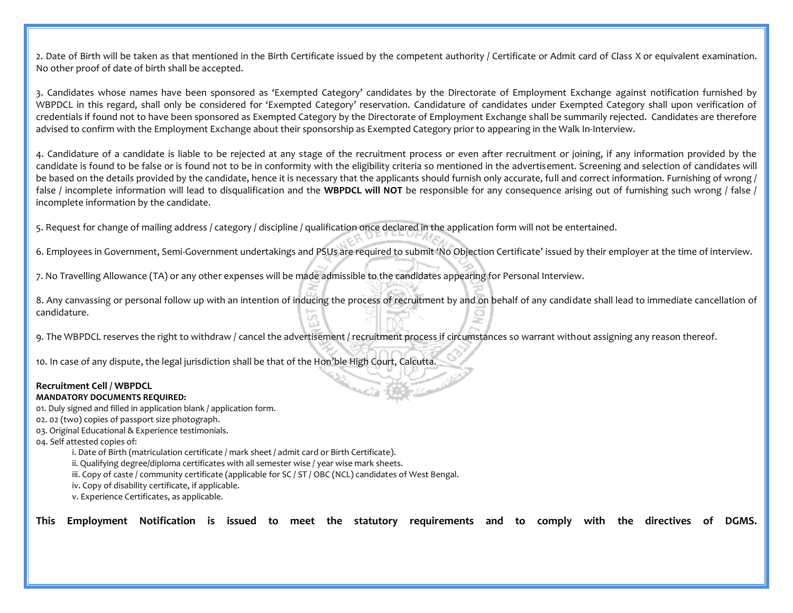2. Date of Birth will be taken as that mentioned in the Birth Certificate issued by the competent authority / Certificate or Admit card of Class X or equivalent examination. No other proof of date of birth shall be accepted.

3. Candidates whose names have been sponsored as 'Exempted Category' candidates by the Directorate of Employment Exchange against notification furnished by WBPDCL in this regard, shall only be considered for 'Exempted Category' reservation. Candidature of candidates under Exempted Category shall upon verification of credentials if found not to have been sponsored as Exempted Category by the Directorate of Employment Exchange shall be summarily rejected. Candidates are therefore advised to confirm with the Employment Exchange about their sponsorship as Exempted Category prior to appearing in the Walk In-Interview.

4. Candidature of a candidate is liable to be rejected at any stage of the recruitment process or even after recruitment or joining, if any information provided by the candidate is found to be false or is found not to be in conformity with the eligibility criteria so mentioned in the advertisement. Screening and selection of candidates will be based on the details provided by the candidate, hence it is necessary that the applicants should furnish only accurate, full and correct information. Furnishing of wrong / false / incomplete information will lead to disqualification and the WBPDCL will NOT be responsible for any consequence arising out of furnishing such wrong / false / incomplete information by the candidate.

5. Request for change of mailing address / category / discipline / qualification once declared in the application form will not be entertained.

6. Employees in Government, Semi-Government undertakings and PSUs are required to submit 'No Objection Certificate' issued by their employer at the time of interview.

7. No Travelling Allowance (TA) or any other expenses will be made admissible to the candidates appearing for Personal Interview.

8. Any canvassing or personal follow up with an intention of inducing the process of recruitment by and on behalf of any candidate shall lead to immediate cancellation of candidature.

9. The WBPDCL reserves the right to withdraw / cancel the advertisement / recruitment process if circumstances so warrant without assigning any reason thereof.

10. In case of any dispute, the legal jurisdiction shall be that of the Hon'ble High Court, Calcutta.

#### **Recruitment Cell / WBPDCL**

#### **MANDATORY DOCUMENTS REQUIRED:**

01. Duly signed and filled in application blank / application form.

- 02. 02 (two) copies of passport size photograph.
- 03. Original Educational & Experience testimonials.

04. Self attested copies of:

i. Date of Birth (matriculation certificate / mark sheet / admit card or Birth Certificate).

ii. Qualifying degree/diploma certificates with all semester wise / year wise mark sheets.

iii. Copy of caste / community certificate (applicable for SC / ST / OBC (NCL) candidates of West Bengal.

iv. Copy of disability certificate, if applicable.

v. Experience Certificates, as applicable.

**This Employment Notification is issued to meet the statutory requirements and to comply with the directives of DGMS.**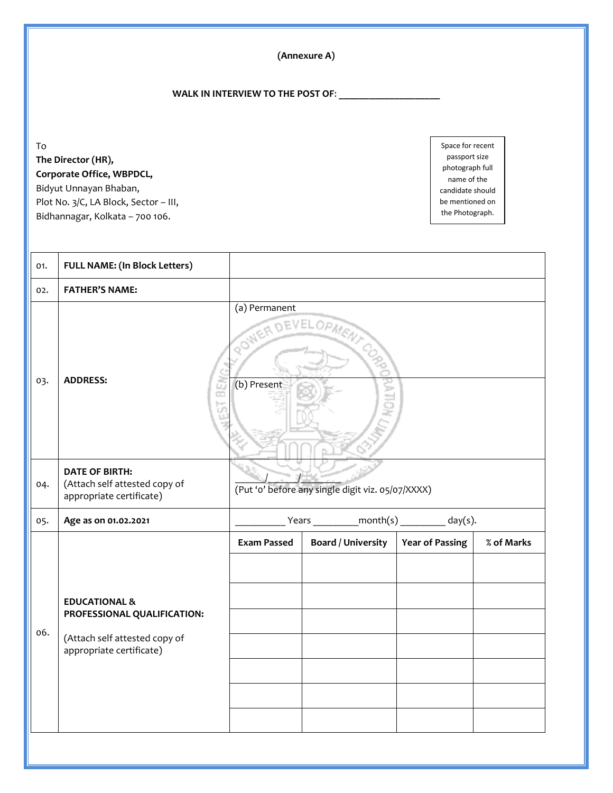**(Annexure A)**

## **WALK IN INTERVIEW TO THE POST OF**: **\_\_\_\_\_\_\_\_\_\_\_\_\_\_\_\_\_\_\_\_**

To **The Director (HR), Corporate Office, WBPDCL,**

Bidyut Unnayan Bhaban, Plot No. 3/C, LA Block, Sector – III, Bidhannagar, Kolkata – 700 106.

Space for recent passport size photograph full name of the candidate should be mentioned on the Photograph.

| 01. | <b>FULL NAME: (In Block Letters)</b>                                               |                                                   |                                                    |                        |            |  |  |
|-----|------------------------------------------------------------------------------------|---------------------------------------------------|----------------------------------------------------|------------------------|------------|--|--|
| 02. | <b>FATHER'S NAME:</b>                                                              |                                                   |                                                    |                        |            |  |  |
| 03. | <b>ADDRESS:</b>                                                                    | (a) Permanent<br>ROWER DEVELOPME                  | CORP                                               |                        |            |  |  |
|     | œ                                                                                  | (b) Present<br>ű.                                 |                                                    |                        |            |  |  |
| 04. | <b>DATE OF BIRTH:</b><br>(Attach self attested copy of<br>appropriate certificate) | (Put 'o' before any single digit viz. 05/07/XXXX) |                                                    |                        |            |  |  |
| 05. | Age as on 01.02.2021                                                               |                                                   | $Years$ ______________month(s) ___________ day(s). |                        |            |  |  |
|     |                                                                                    | <b>Exam Passed</b>                                | <b>Board / University</b>                          | <b>Year of Passing</b> | % of Marks |  |  |
|     |                                                                                    |                                                   |                                                    |                        |            |  |  |
|     | <b>EDUCATIONAL &amp;</b>                                                           |                                                   |                                                    |                        |            |  |  |
| 06. | PROFESSIONAL QUALIFICATION:                                                        |                                                   |                                                    |                        |            |  |  |
|     | (Attach self attested copy of<br>appropriate certificate)                          |                                                   |                                                    |                        |            |  |  |
|     |                                                                                    |                                                   |                                                    |                        |            |  |  |
|     |                                                                                    |                                                   |                                                    |                        |            |  |  |
|     |                                                                                    |                                                   |                                                    |                        |            |  |  |